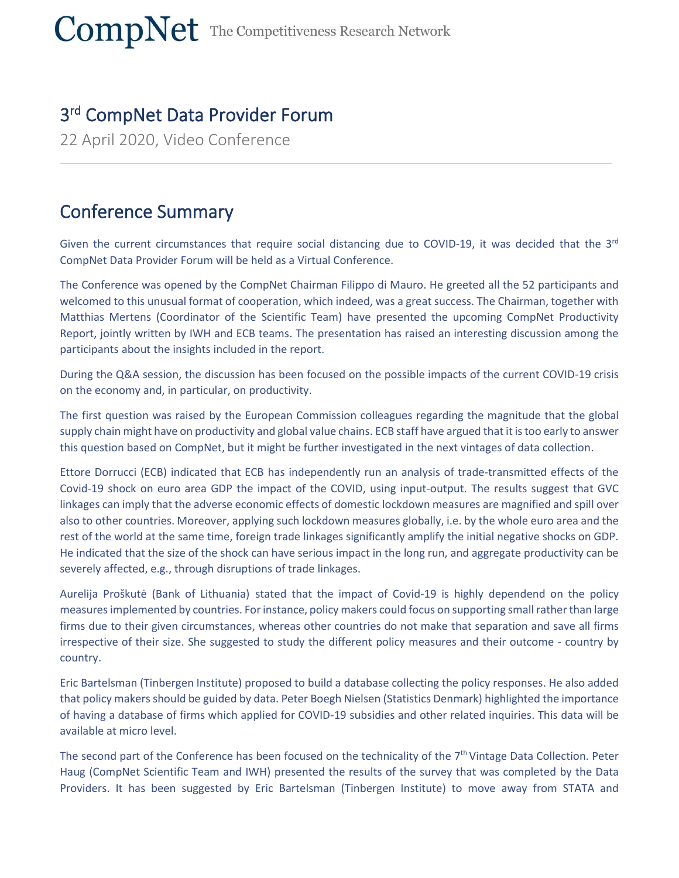## 3 rd CompNet Data Provider Forum

22 April 2020, Video Conference

## Conference Summary

Given the current circumstances that require social distancing due to COVID-19, it was decided that the 3<sup>rd</sup> CompNet Data Provider Forum will be held as a Virtual Conference.

 $\_$  , and the set of the set of the set of the set of the set of the set of the set of the set of the set of the set of the set of the set of the set of the set of the set of the set of the set of the set of the set of th

The Conference was opened by the CompNet Chairman Filippo di Mauro. He greeted all the 52 participants and welcomed to this unusual format of cooperation, which indeed, was a great success. The Chairman, together with Matthias Mertens (Coordinator of the Scientific Team) have presented the upcoming CompNet Productivity Report, jointly written by IWH and ECB teams. The presentation has raised an interesting discussion among the participants about the insights included in the report.

During the Q&A session, the discussion has been focused on the possible impacts of the current COVID-19 crisis on the economy and, in particular, on productivity.

The first question was raised by the European Commission colleagues regarding the magnitude that the global supply chain might have on productivity and global value chains. ECB staff have argued that it is too early to answer this question based on CompNet, but it might be further investigated in the next vintages of data collection.

Ettore Dorrucci (ECB) indicated that ECB has independently run an analysis of trade-transmitted effects of the Covid-19 shock on euro area GDP the impact of the COVID, using input-output. The results suggest that GVC linkages can imply that the adverse economic effects of domestic lockdown measures are magnified and spill over also to other countries. Moreover, applying such lockdown measures globally, i.e. by the whole euro area and the rest of the world at the same time, foreign trade linkages significantly amplify the initial negative shocks on GDP. He indicated that the size of the shock can have serious impact in the long run, and aggregate productivity can be severely affected, e.g., through disruptions of trade linkages.

Aurelija Proškutė (Bank of Lithuania) stated that the impact of Covid-19 is highly dependend on the policy measuresimplemented by countries. For instance, policy makers could focus on supporting small rather than large firms due to their given circumstances, whereas other countries do not make that separation and save all firms irrespective of their size. She suggested to study the different policy measures and their outcome - country by country.

Eric Bartelsman (Tinbergen Institute) proposed to build a database collecting the policy responses. He also added that policy makers should be guided by data. Peter Boegh Nielsen (Statistics Denmark) highlighted the importance of having a database of firms which applied for COVID-19 subsidies and other related inquiries. This data will be available at micro level.

The second part of the Conference has been focused on the technicality of the 7<sup>th</sup> Vintage Data Collection. Peter Haug (CompNet Scientific Team and IWH) presented the results of the survey that was completed by the Data Providers. It has been suggested by Eric Bartelsman (Tinbergen Institute) to move away from STATA and